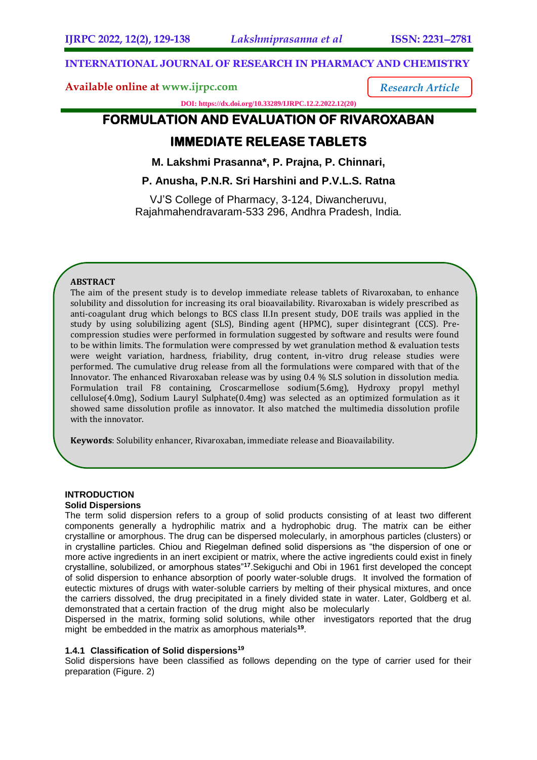*Research Article*

# **INTERNATIONAL JOURNAL OF RESEARCH IN PHARMACY AND CHEMISTRY**

**Available online at [www.ijrpc.com](http://www.ijrpc.com/)**

**DOI: https://dx.doi.org/10.33289/IJRPC.12.2.2022.12(20)** 

# **FORMULATION AND EVALUATION OF RIVAROXABAN**

# **IMMEDIATE RELEASE TABLETS**

**M. Lakshmi Prasanna\*, P. Prajna, P. Chinnari,**

**P. Anusha, P.N.R. Sri Harshini and P.V.L.S. Ratna**

VJ'S College of Pharmacy, 3-124, Diwancheruvu, Rajahmahendravaram-533 296, Andhra Pradesh, India.

# **ABSTRACT**

The aim of the present study is to develop immediate release tablets of Rivaroxaban, to enhance solubility and dissolution for increasing its oral bioavailability. Rivaroxaban is widely prescribed as anti-coagulant drug which belongs to BCS class II.In present study, DOE trails was applied in the study by using solubilizing agent (SLS), Binding agent (HPMC), super disintegrant (CCS). Precompression studies were performed in formulation suggested by software and results were found to be within limits. The formulation were compressed by wet granulation method & evaluation tests were weight variation, hardness, friability, drug content, in-vitro drug release studies were performed. The cumulative drug release from all the formulations were compared with that of the Innovator. The enhanced Rivaroxaban release was by using 0.4 % SLS solution in dissolution media. Formulation trail F8 containing, Croscarmellose sodium(5.6mg), Hydroxy propyl methyl cellulose(4.0mg), Sodium Lauryl Sulphate(0.4mg) was selected as an optimized formulation as it showed same dissolution profile as innovator. It also matched the multimedia dissolution profile with the innovator.

**Keywords**: Solubility enhancer, Rivaroxaban, immediate release and Bioavailability.

## **INTRODUCTION**

#### **Solid Dispersions**

The term solid dispersion refers to a group of solid products consisting of at least two different components generally a hydrophilic matrix and a hydrophobic drug. The matrix can be either crystalline or amorphous. The drug can be dispersed molecularly, in amorphous particles (clusters) or in crystalline particles. Chiou and Riegelman defined solid dispersions as "the dispersion of one or more active ingredients in an inert excipient or matrix, where the active ingredients could exist in finely crystalline, solubilized, or amorphous states"**<sup>17</sup>**.Sekiguchi and Obi in 1961 first developed the concept of solid dispersion to enhance absorption of poorly water-soluble drugs. It involved the formation of eutectic mixtures of drugs with water-soluble carriers by melting of their physical mixtures, and once the carriers dissolved, the drug precipitated in a finely divided state in water. Later, Goldberg et al. demonstrated that a certain fraction of the drug might also be molecularly

Dispersed in the matrix, forming solid solutions, while other investigators reported that the drug might be embedded in the matrix as amorphous materials**<sup>19</sup>** .

## **1.4.1 Classification of Solid dispersions<sup>19</sup>**

Solid dispersions have been classified as follows depending on the type of carrier used for their preparation (Figure. 2)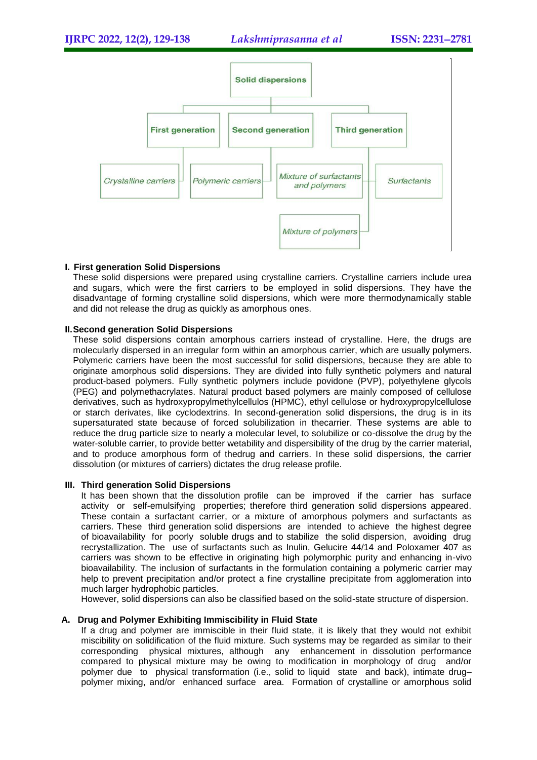

## **I. First generation Solid Dispersions**

These solid dispersions were prepared using crystalline carriers. Crystalline carriers include urea and sugars, which were the first carriers to be employed in solid dispersions. They have the disadvantage of forming crystalline solid dispersions, which were more thermodynamically stable and did not release the drug as quickly as amorphous ones.

## **II.Second generation Solid Dispersions**

These solid dispersions contain amorphous carriers instead of crystalline. Here, the drugs are molecularly dispersed in an irregular form within an amorphous carrier, which are usually polymers. Polymeric carriers have been the most successful for solid dispersions, because they are able to originate amorphous solid dispersions. They are divided into fully synthetic polymers and natural product-based polymers. Fully synthetic polymers include povidone (PVP), polyethylene glycols (PEG) and polymethacrylates. Natural product based polymers are mainly composed of cellulose derivatives, such as hydroxypropylmethylcellulos (HPMC), ethyl cellulose or hydroxypropylcellulose or starch derivates, like cyclodextrins. In second-generation solid dispersions, the drug is in its supersaturated state because of forced solubilization in thecarrier. These systems are able to reduce the drug particle size to nearly a molecular level, to solubilize or co-dissolve the drug by the water-soluble carrier, to provide better wetability and dispersibility of the drug by the carrier material, and to produce amorphous form of thedrug and carriers. In these solid dispersions, the carrier dissolution (or mixtures of carriers) dictates the drug release profile.

#### **III. Third generation Solid Dispersions**

It has been shown that the dissolution profile can be improved if the carrier has surface activity or self-emulsifying properties; therefore third generation solid dispersions appeared. These contain a surfactant carrier, or a mixture of amorphous polymers and surfactants as carriers. These third generation solid dispersions are intended to achieve the highest degree of bioavailability for poorly soluble drugs and to stabilize the solid dispersion, avoiding drug recrystallization. The use of surfactants such as Inulin, Gelucire 44/14 and Poloxamer 407 as carriers was shown to be effective in originating high polymorphic purity and enhancing in-vivo bioavailability. The inclusion of surfactants in the formulation containing a polymeric carrier may help to prevent precipitation and/or protect a fine crystalline precipitate from agglomeration into much larger hydrophobic particles.

However, solid dispersions can also be classified based on the solid-state structure of dispersion.

# **A. Drug and Polymer Exhibiting Immiscibility in Fluid State**

If a drug and polymer are immiscible in their fluid state, it is likely that they would not exhibit miscibility on solidification of the fluid mixture. Such systems may be regarded as similar to their corresponding physical mixtures, although any enhancement in dissolution performance compared to physical mixture may be owing to modification in morphology of drug and/or polymer due to physical transformation (i.e., solid to liquid state and back), intimate drug– polymer mixing, and/or enhanced surface area. Formation of crystalline or amorphous solid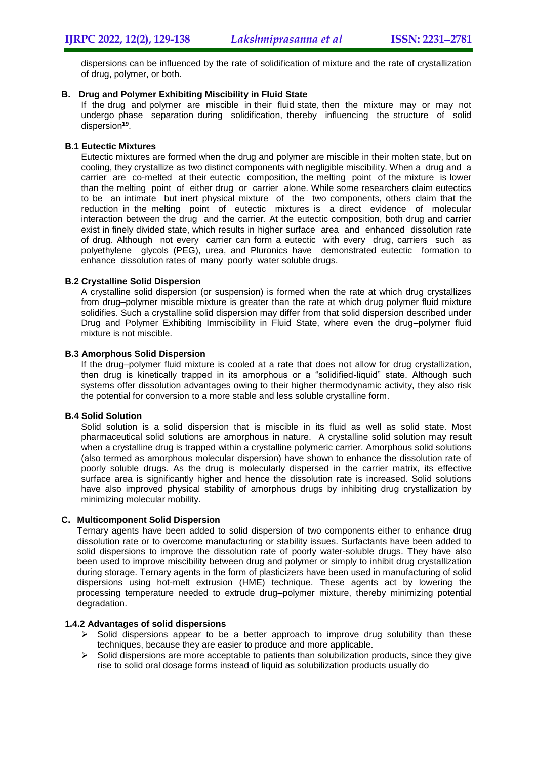dispersions can be influenced by the rate of solidification of mixture and the rate of crystallization of drug, polymer, or both.

## **B. Drug and Polymer Exhibiting Miscibility in Fluid State**

If the drug and polymer are miscible in their fluid state, then the mixture may or may not undergo phase separation during solidification, thereby influencing the structure of solid dispersion**<sup>19</sup>** .

## **B.1 Eutectic Mixtures**

Eutectic mixtures are formed when the drug and polymer are miscible in their molten state, but on cooling, they crystallize as two distinct components with negligible miscibility. When a drug and a carrier are co-melted at their eutectic composition, the melting point of the mixture is lower than the melting point of either drug or carrier alone. While some researchers claim eutectics to be an intimate but inert physical mixture of the two components, others claim that the reduction in the melting point of eutectic mixtures is a direct evidence of molecular interaction between the drug and the carrier. At the eutectic composition, both drug and carrier exist in finely divided state, which results in higher surface area and enhanced dissolution rate of drug. Although not every carrier can form a eutectic with every drug, carriers such as polyethylene glycols (PEG), urea, and Pluronics have demonstrated eutectic formation to enhance dissolution rates of many poorly water soluble drugs.

## **B.2 Crystalline Solid Dispersion**

A crystalline solid dispersion (or suspension) is formed when the rate at which drug crystallizes from drug–polymer miscible mixture is greater than the rate at which drug polymer fluid mixture solidifies. Such a crystalline solid dispersion may differ from that solid dispersion described under Drug and Polymer Exhibiting Immiscibility in Fluid State, where even the drug–polymer fluid mixture is not miscible.

## **B.3 Amorphous Solid Dispersion**

If the drug–polymer fluid mixture is cooled at a rate that does not allow for drug crystallization, then drug is kinetically trapped in its amorphous or a "solidified-liquid" state. Although such systems offer dissolution advantages owing to their higher thermodynamic activity, they also risk the potential for conversion to a more stable and less soluble crystalline form.

#### **B.4 Solid Solution**

Solid solution is a solid dispersion that is miscible in its fluid as well as solid state. Most pharmaceutical solid solutions are amorphous in nature. A crystalline solid solution may result when a crystalline drug is trapped within a crystalline polymeric carrier. Amorphous solid solutions (also termed as amorphous molecular dispersion) have shown to enhance the dissolution rate of poorly soluble drugs. As the drug is molecularly dispersed in the carrier matrix, its effective surface area is significantly higher and hence the dissolution rate is increased. Solid solutions have also improved physical stability of amorphous drugs by inhibiting drug crystallization by minimizing molecular mobility.

#### **C. Multicomponent Solid Dispersion**

Ternary agents have been added to solid dispersion of two components either to enhance drug dissolution rate or to overcome manufacturing or stability issues. Surfactants have been added to solid dispersions to improve the dissolution rate of poorly water-soluble drugs. They have also been used to improve miscibility between drug and polymer or simply to inhibit drug crystallization during storage. Ternary agents in the form of plasticizers have been used in manufacturing of solid dispersions using hot-melt extrusion (HME) technique. These agents act by lowering the processing temperature needed to extrude drug–polymer mixture, thereby minimizing potential degradation.

#### **1.4.2 Advantages of solid dispersions**

- $\triangleright$  Solid dispersions appear to be a better approach to improve drug solubility than these techniques, because they are easier to produce and more applicable.
- $\triangleright$  Solid dispersions are more acceptable to patients than solubilization products, since they give rise to solid oral dosage forms instead of liquid as solubilization products usually do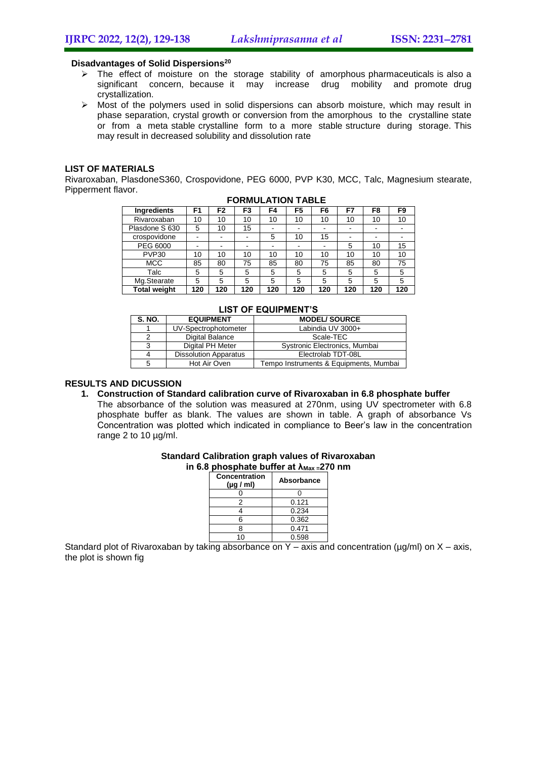#### **Disadvantages of Solid Dispersions<sup>20</sup>**

- $\triangleright$  The effect of moisture on the storage stability of amorphous pharmaceuticals is also a significant concern, because it may increase drug mobility and promote drug crystallization.
- $\triangleright$  Most of the polymers used in solid dispersions can absorb moisture, which may result in phase separation, crystal growth or conversion from the amorphous to the crystalline state or from a meta stable crystalline form to a more stable structure during storage. This may result in decreased solubility and dissolution rate

## **LIST OF MATERIALS**

Rivaroxaban, PlasdoneS360, Crospovidone, PEG 6000, PVP K30, MCC, Talc, Magnesium stearate, Pipperment flavor.

| Ingredients         | F1  | F2  | F3  | F4  | F5  | F6  | F7  | F8  | F9  |
|---------------------|-----|-----|-----|-----|-----|-----|-----|-----|-----|
| Rivaroxaban         | 10  | 10  | 10  | 10  | 10  | 10  | 10  | 10  | 10  |
| Plasdone S 630      | 5   | 10  | 15  | ۰   |     | -   | -   |     |     |
| crospovidone        |     | -   |     | 5   | 10  | 15  | -   | -   | -   |
| PEG 6000            |     | -   |     | -   |     | -   | 5   | 10  | 15  |
| PVP <sub>30</sub>   | 10  | 10  | 10  | 10  | 10  | 10  | 10  | 10  | 10  |
| <b>MCC</b>          | 85  | 80  | 75  | 85  | 80  | 75  | 85  | 80  | 75  |
| Talc                | 5   | 5   | 5   | 5   | 5   | 5   | 5   | 5   | 5   |
| Mg.Stearate         | 5   | 5   | 5   | 5   | 5   | 5   | 5   | 5   | 5   |
| <b>Total weight</b> | 120 | 120 | 120 | 120 | 120 | 120 | 120 | 120 | 120 |

#### **FORMULATION TABLE**

| LIJI UF EWUIFMENT J |                              |                                        |  |  |  |  |  |
|---------------------|------------------------------|----------------------------------------|--|--|--|--|--|
| <b>S. NO.</b>       | <b>EQUIPMENT</b>             | <b>MODEL/SOURCE</b>                    |  |  |  |  |  |
|                     | UV-Spectrophotometer         | Labindia UV 3000+                      |  |  |  |  |  |
|                     | Digital Balance              | Scale-TEC                              |  |  |  |  |  |
|                     | Digital PH Meter             | Systronic Electronics, Mumbai          |  |  |  |  |  |
|                     | <b>Dissolution Apparatus</b> | Electrolab TDT-08L                     |  |  |  |  |  |
|                     | Hot Air Oven                 | Tempo Instruments & Equipments, Mumbai |  |  |  |  |  |

#### **LIST OF EQUIPMENT'S**

# **RESULTS AND DICUSSION**

- **1. Construction of Standard calibration curve of Rivaroxaban in 6.8 phosphate buffer**
	- The absorbance of the solution was measured at 270nm, using UV spectrometer with 6.8 phosphate buffer as blank. The values are shown in table. A graph of absorbance Vs Concentration was plotted which indicated in compliance to Beer's law in the concentration range 2 to 10 µg/ml.

#### **Standard Calibration graph values of Rivaroxaban in 6.8 phosphate buffer at λMax =270 nm**

| Concentration<br>$(\mu g / \text{ml})$ | <b>Absorbance</b> |  |  |
|----------------------------------------|-------------------|--|--|
|                                        |                   |  |  |
| 2                                      | 0.121             |  |  |
|                                        | 0.234             |  |  |
| ิค                                     | 0.362             |  |  |
|                                        | 0.471             |  |  |
|                                        | 0.598             |  |  |

Standard plot of Rivaroxaban by taking absorbance on Y – axis and concentration ( $\mu$ g/ml) on X – axis, the plot is shown fig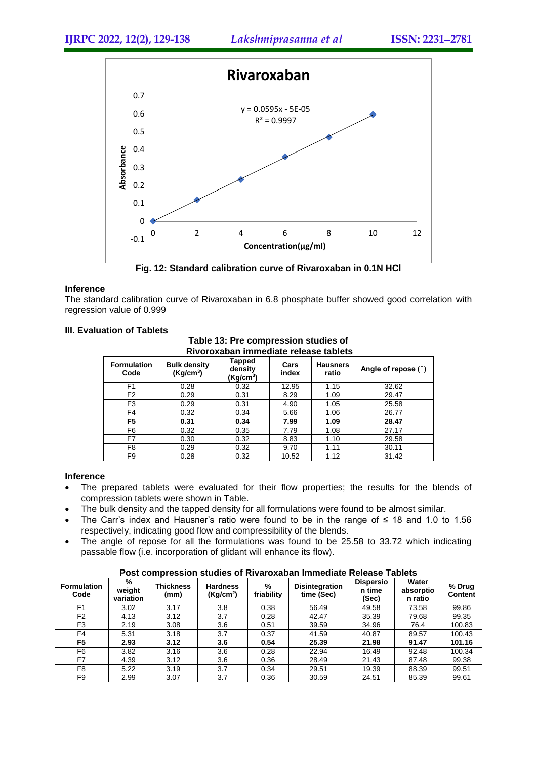

**Fig. 12: Standard calibration curve of Rivaroxaban in 0.1N HCl**

#### **Inference**

The standard calibration curve of Rivaroxaban in 6.8 phosphate buffer showed good correlation with regression value of 0.999

#### **III. Evaluation of Tablets**

| <u>KIVULOAADAH IIIIIIIIGUIALE LEIGASE LADIGLS</u> |                                              |                                            |               |                          |                     |  |  |  |
|---------------------------------------------------|----------------------------------------------|--------------------------------------------|---------------|--------------------------|---------------------|--|--|--|
| <b>Formulation</b><br>Code                        | <b>Bulk density</b><br>(Kq/cm <sup>3</sup> ) | Tapped<br>density<br>(Kg/cm <sup>3</sup> ) | Cars<br>index | <b>Hausners</b><br>ratio | Angle of repose (°) |  |  |  |
| F <sub>1</sub>                                    | 0.28                                         | 0.32                                       | 12.95         | 1.15                     | 32.62               |  |  |  |
| F <sub>2</sub>                                    | 0.29                                         | 0.31                                       | 8.29          | 1.09                     | 29.47               |  |  |  |
| F3                                                | 0.29                                         | 0.31                                       | 4.90          | 1.05                     | 25.58               |  |  |  |
| F4                                                | 0.32                                         | 0.34                                       | 5.66          | 1.06                     | 26.77               |  |  |  |
| F <sub>5</sub>                                    | 0.31                                         | 0.34                                       | 7.99          | 1.09                     | 28.47               |  |  |  |
| F6                                                | 0.32                                         | 0.35                                       | 7.79          | 1.08                     | 27.17               |  |  |  |
| F7                                                | 0.30                                         | 0.32                                       | 8.83          | 1.10                     | 29.58               |  |  |  |
| F8                                                | 0.29                                         | 0.32                                       | 9.70          | 1.11                     | 30.11               |  |  |  |
| F9                                                | 0.28                                         | 0.32                                       | 10.52         | 1.12                     | 31.42               |  |  |  |

#### **Table 13: Pre compression studies of Rivoroxaban immediate release tablets**

#### **Inference**

- The prepared tablets were evaluated for their flow properties; the results for the blends of compression tablets were shown in Table.
- The bulk density and the tapped density for all formulations were found to be almost similar.
- The Carr's index and Hausner's ratio were found to be in the range of  $\leq 18$  and 1.0 to 1.56 respectively, indicating good flow and compressibility of the blends.
- The angle of repose for all the formulations was found to be 25.58 to 33.72 which indicating passable flow (i.e. incorporation of glidant will enhance its flow).

**Post compression studies of Rivaroxaban Immediate Release Tablets**

| <b>Formulation</b><br>Code | %<br>weight<br>variation | <b>Thickness</b><br>(mm) | <b>Hardness</b><br>(Kg/cm <sup>2</sup> ) | %<br>friability | <b>Disintegration</b><br>time (Sec) | <b>Dispersio</b><br>n time<br>(Sec) | Water<br>absorptio<br>n ratio | % Drug<br><b>Content</b> |
|----------------------------|--------------------------|--------------------------|------------------------------------------|-----------------|-------------------------------------|-------------------------------------|-------------------------------|--------------------------|
| F <sub>1</sub>             | 3.02                     | 3.17                     | 3.8                                      | 0.38            | 56.49                               | 49.58                               | 73.58                         | 99.86                    |
| F <sub>2</sub>             | 4.13                     | 3.12                     | 3.7                                      | 0.28            | 42.47                               | 35.39                               | 79.68                         | 99.35                    |
| F3                         | 2.19                     | 3.08                     | 3.6                                      | 0.51            | 39.59                               | 34.96                               | 76.4                          | 100.83                   |
| F4                         | 5.31                     | 3.18                     | 3.7                                      | 0.37            | 41.59                               | 40.87                               | 89.57                         | 100.43                   |
| F5                         | 2.93                     | 3.12                     | 3.6                                      | 0.54            | 25.39                               | 21.98                               | 91.47                         | 101.16                   |
| F6                         | 3.82                     | 3.16                     | 3.6                                      | 0.28            | 22.94                               | 16.49                               | 92.48                         | 100.34                   |
| F7                         | 4.39                     | 3.12                     | 3.6                                      | 0.36            | 28.49                               | 21.43                               | 87.48                         | 99.38                    |
| F <sub>8</sub>             | 5.22                     | 3.19                     | 3.7                                      | 0.34            | 29.51                               | 19.39                               | 88.39                         | 99.51                    |
| F <sub>9</sub>             | 2.99                     | 3.07                     | 3.7                                      | 0.36            | 30.59                               | 24.51                               | 85.39                         | 99.61                    |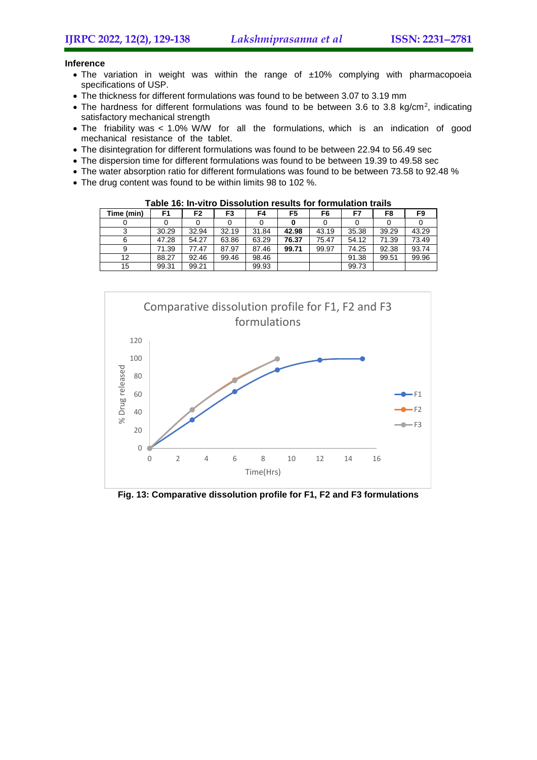#### **Inference**

- The variation in weight was within the range of ±10% complying with pharmacopoeia specifications of USP.
- The thickness for different formulations was found to be between 3.07 to 3.19 mm
- The hardness for different formulations was found to be between 3.6 to 3.8 kg/cm<sup>2</sup>, indicating satisfactory mechanical strength
- The friability was < 1.0% W/W for all the formulations, which is an indication of good mechanical resistance of the tablet.
- The disintegration for different formulations was found to be between 22.94 to 56.49 sec
- The dispersion time for different formulations was found to be between 19.39 to 49.58 sec
- The water absorption ratio for different formulations was found to be between 73.58 to 92.48 %
- The drug content was found to be within limits 98 to 102 %.

**Table 16: In-vitro Dissolution results for formulation trails Time (min) F1 F2 F3 F4 F5 F6 F7 F8 F9** 0 0 0 0 0 0 0 0 0 0 0 0 3 | 30.29 | 32.94 | 32.19 | 31.84 | **42.98** | 43.19 | 35.38 | 39.29 | 43.29 6 47.28 54.27 63.86 63.29 **76.37** 75.47 54.12 71.39 73.49 9 71.39 77.47 87.97 87.46 **99.71** 99.97 74.25 92.38 93.74 12 | 88.27 | 92.46 | 99.46 | 98.46 | | | 91.38 | 99.51 | 99.96 15 | 99.31 | 99.21 | 99.93 | 99.93 | 99.73



**Fig. 13: Comparative dissolution profile for F1, F2 and F3 formulations**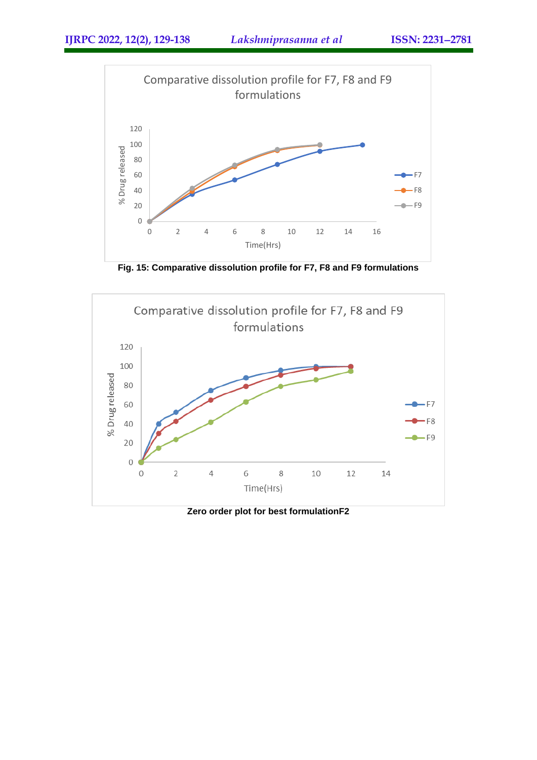

**Fig. 15: Comparative dissolution profile for F7, F8 and F9 formulations**



**Zero order plot for best formulationF2**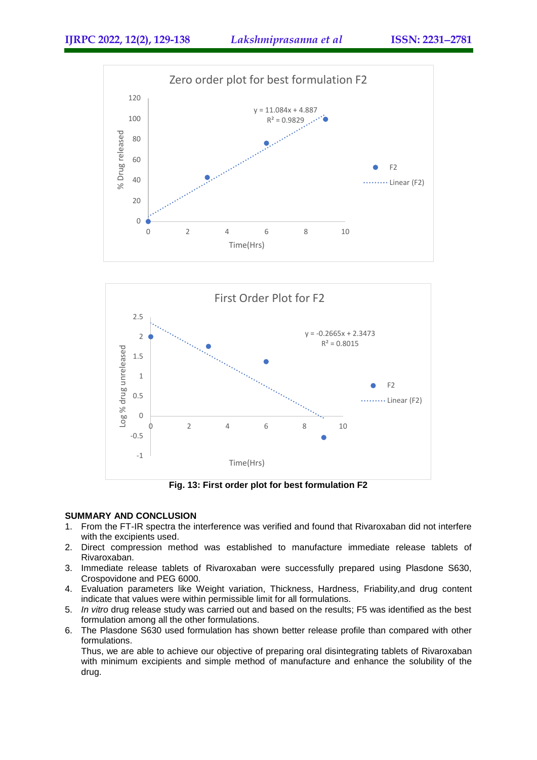



**Fig. 13: First order plot for best formulation F2**

# **SUMMARY AND CONCLUSION**

- 1. From the FT-IR spectra the interference was verified and found that Rivaroxaban did not interfere with the excipients used.
- 2. Direct compression method was established to manufacture immediate release tablets of Rivaroxaban.
- 3. Immediate release tablets of Rivaroxaban were successfully prepared using Plasdone S630, Crospovidone and PEG 6000.
- 4. Evaluation parameters like Weight variation, Thickness, Hardness, Friability,and drug content indicate that values were within permissible limit for all formulations.
- 5. *In vitro* drug release study was carried out and based on the results; F5 was identified as the best formulation among all the other formulations.
- 6. The Plasdone S630 used formulation has shown better release profile than compared with other formulations.

Thus, we are able to achieve our objective of preparing oral disintegrating tablets of Rivaroxaban with minimum excipients and simple method of manufacture and enhance the solubility of the drug.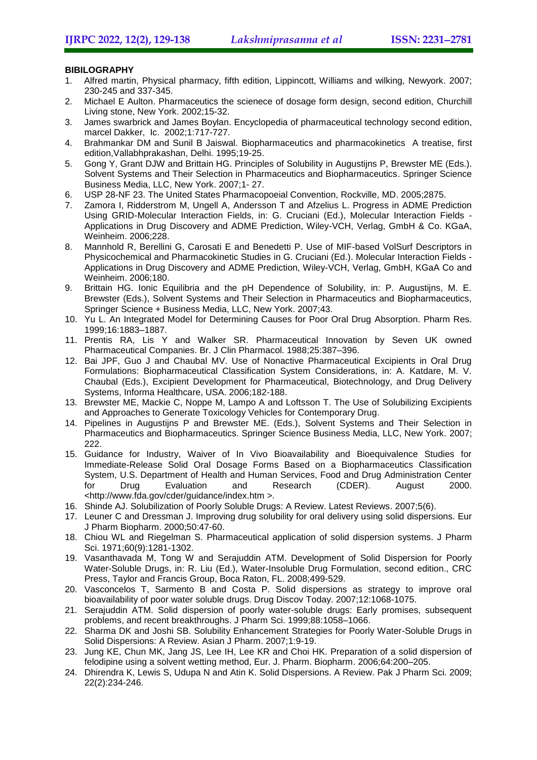# **BIBILOGRAPHY**

- 1. Alfred martin, Physical pharmacy, fifth edition, Lippincott, Williams and wilking, Newyork. 2007; 230-245 and 337-345.
- 2. Michael E Aulton. Pharmaceutics the scienece of dosage form design, second edition, Churchill Living stone, New York. 2002;15-32.
- 3. James swarbrick and James Boylan. Encyclopedia of pharmaceutical technology second edition, marcel Dakker, Ic. 2002;1:717-727.
- 4. Brahmankar DM and Sunil B Jaiswal. Biopharmaceutics and pharmacokinetics A treatise, first edition,Vallabhprakashan, Delhi. 1995;19-25.
- 5. Gong Y, Grant DJW and Brittain HG. Principles of Solubility in Augustijns P, Brewster ME (Eds.). Solvent Systems and Their Selection in Pharmaceutics and Biopharmaceutics. Springer Science Business Media, LLC, New York. 2007;1- 27.
- 6. USP 28-NF 23. The United States Pharmacopoeial Convention, Rockville, MD. 2005;2875.
- 7. Zamora I, Ridderstrom M, Ungell A, Andersson T and Afzelius L. Progress in ADME Prediction Using GRID-Molecular Interaction Fields, in: G. Cruciani (Ed.), Molecular Interaction Fields - Applications in Drug Discovery and ADME Prediction, Wiley-VCH, Verlag, GmbH & Co. KGaA, Weinheim. 2006;228.
- 8. Mannhold R, Berellini G, Carosati E and Benedetti P. Use of MIF-based VolSurf Descriptors in Physicochemical and Pharmacokinetic Studies in G. Cruciani (Ed.). Molecular Interaction Fields - Applications in Drug Discovery and ADME Prediction, Wiley-VCH, Verlag, GmbH, KGaA Co and Weinheim. 2006;180.
- 9. Brittain HG. Ionic Equilibria and the pH Dependence of Solubility, in: P. Augustijns, M. E. Brewster (Eds.), Solvent Systems and Their Selection in Pharmaceutics and Biopharmaceutics, Springer Science + Business Media, LLC, New York. 2007;43.
- 10. Yu L. An Integrated Model for Determining Causes for Poor Oral Drug Absorption. Pharm Res. 1999;16:1883–1887.
- 11. Prentis RA, Lis Y and Walker SR. Pharmaceutical Innovation by Seven UK owned Pharmaceutical Companies. Br. J Clin Pharmacol. 1988;25:387–396.
- 12. Bai JPF, Guo J and Chaubal MV. Use of Nonactive Pharmaceutical Excipients in Oral Drug Formulations: Biopharmaceutical Classification System Considerations, in: A. Katdare, M. V. Chaubal (Eds.), Excipient Development for Pharmaceutical, Biotechnology, and Drug Delivery Systems, Informa Healthcare, USA. 2006;182-188.
- 13. Brewster ME, Mackie C, Noppe M, Lampo A and Loftsson T. The Use of Solubilizing Excipients and Approaches to Generate Toxicology Vehicles for Contemporary Drug.
- 14. Pipelines in Augustijns P and Brewster ME. (Eds.), Solvent Systems and Their Selection in Pharmaceutics and Biopharmaceutics. Springer Science Business Media, LLC, New York. 2007; 222.
- 15. Guidance for Industry, Waiver of In Vivo Bioavailability and Bioequivalence Studies for Immediate-Release Solid Oral Dosage Forms Based on a Biopharmaceutics Classification System, U.S. Department of Health and Human Services, Food and Drug Administration Center for Drug Evaluation and Research (CDER). August 2000. <http://www.fda.gov/cder/guidance/index.htm >.
- 16. Shinde AJ. Solubilization of Poorly Soluble Drugs: A Review. Latest Reviews. 2007;5(6).
- 17. Leuner C and Dressman J. Improving drug solubility for oral delivery using solid dispersions. Eur J Pharm Biopharm. 2000;50:47-60.
- 18. Chiou WL and Riegelman S. Pharmaceutical application of solid dispersion systems. J Pharm Sci. 1971;60(9):1281-1302.
- 19. Vasanthavada M, Tong W and Serajuddin ATM. Development of Solid Dispersion for Poorly Water-Soluble Drugs, in: R. Liu (Ed.), Water-Insoluble Drug Formulation, second edition., CRC Press, Taylor and Francis Group, Boca Raton, FL. 2008;499-529.
- 20. Vasconcelos T, Sarmento B and Costa P. Solid dispersions as strategy to improve oral bioavailability of poor water soluble drugs. Drug Discov Today. 2007;12:1068-1075.
- 21. Serajuddin ATM. Solid dispersion of poorly water-soluble drugs: Early promises, subsequent problems, and recent breakthroughs. J Pharm Sci. 1999;88:1058–1066.
- 22. Sharma DK and Joshi SB. Solubility Enhancement Strategies for Poorly Water-Soluble Drugs in Solid Dispersions: A Review. Asian J Pharm. 2007;1:9-19.
- 23. Jung KE, Chun MK, Jang JS, Lee IH, Lee KR and Choi HK. Preparation of a solid dispersion of felodipine using a solvent wetting method, Eur. J. Pharm. Biopharm. 2006;64:200–205.
- 24. Dhirendra K, Lewis S, Udupa N and Atin K. Solid Dispersions. A Review. Pak J Pharm Sci. 2009; 22(2):234-246.